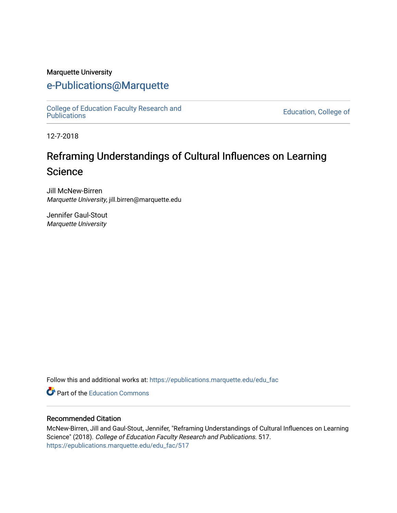#### Marquette University

# [e-Publications@Marquette](https://epublications.marquette.edu/)

College of Education Faculty Research and<br>Publications

**Education, College of** 

12-7-2018

# Reframing Understandings of Cultural Influences on Learning Science

Jill McNew-Birren Marquette University, jill.birren@marquette.edu

Jennifer Gaul-Stout Marquette University

Follow this and additional works at: [https://epublications.marquette.edu/edu\\_fac](https://epublications.marquette.edu/edu_fac?utm_source=epublications.marquette.edu%2Fedu_fac%2F517&utm_medium=PDF&utm_campaign=PDFCoverPages) 

**C** Part of the [Education Commons](http://network.bepress.com/hgg/discipline/784?utm_source=epublications.marquette.edu%2Fedu_fac%2F517&utm_medium=PDF&utm_campaign=PDFCoverPages)

#### Recommended Citation

McNew-Birren, Jill and Gaul-Stout, Jennifer, "Reframing Understandings of Cultural Influences on Learning Science" (2018). College of Education Faculty Research and Publications. 517. [https://epublications.marquette.edu/edu\\_fac/517](https://epublications.marquette.edu/edu_fac/517?utm_source=epublications.marquette.edu%2Fedu_fac%2F517&utm_medium=PDF&utm_campaign=PDFCoverPages)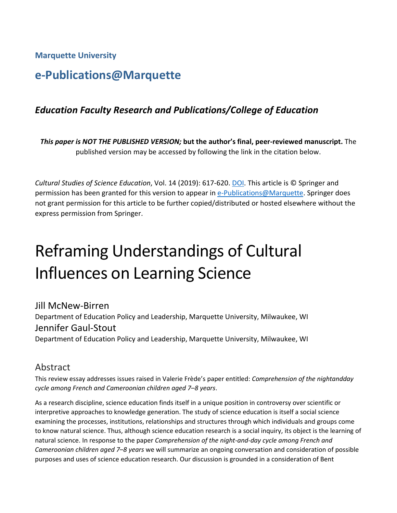**Marquette University**

# **e-Publications@Marquette**

# *Education Faculty Research and Publications/College of Education*

*This paper is NOT THE PUBLISHED VERSION;* **but the author's final, peer-reviewed manuscript.** The published version may be accessed by following the link in the citation below.

*Cultural Studies of Science Education*, Vol. 14 (2019): 617-620. [DOI.](https://doi.org/10.1007/s11422-018-9883-z) This article is © Springer and permission has been granted for this version to appear in [e-Publications@Marquette.](http://epublications.marquette.edu/) Springer does not grant permission for this article to be further copied/distributed or hosted elsewhere without the express permission from Springer.

# Reframing Understandings of Cultural Influences on Learning Science

Jill McNew-Birren Department of Education Policy and Leadership, Marquette University, Milwaukee, WI Jennifer Gaul-Stout Department of Education Policy and Leadership, Marquette University, Milwaukee, WI

## Abstract

This review essay addresses issues raised in Valerie Frède's paper entitled: *Comprehension of the nightandday cycle among French and Cameroonian children aged 7*–*8 years*.

As a research discipline, science education finds itself in a unique position in controversy over scientific or interpretive approaches to knowledge generation. The study of science education is itself a social science examining the processes, institutions, relationships and structures through which individuals and groups come to know natural science. Thus, although science education research is a social inquiry, its object is the learning of natural science. In response to the paper *Comprehension of the night*-*and*-*day cycle among French and Cameroonian children aged 7*–*8 years* we will summarize an ongoing conversation and consideration of possible purposes and uses of science education research. Our discussion is grounded in a consideration of Bent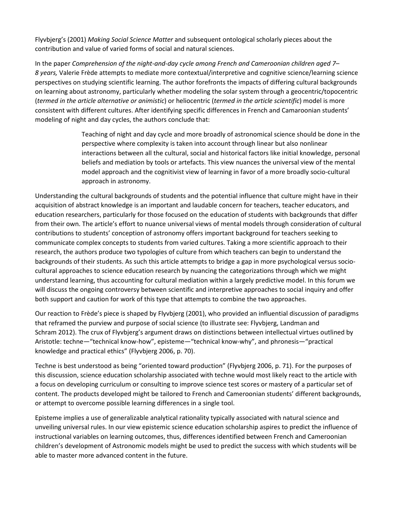Flyvbjerg's (2001) *Making Social Science Matter* and subsequent ontological scholarly pieces about the contribution and value of varied forms of social and natural sciences.

In the paper *Comprehension of the night*-*and*-*day cycle among French and Cameroonian children aged 7*– *8 years,* Valerie Frède attempts to mediate more contextual/interpretive and cognitive science/learning science perspectives on studying scientific learning. The author forefronts the impacts of differing cultural backgrounds on learning about astronomy, particularly whether modeling the solar system through a geocentric/topocentric (*termed in the article alternative or animistic*) or heliocentric (*termed in the article scientific*) model is more consistent with different cultures. After identifying specific differences in French and Camaroonian students' modeling of night and day cycles, the authors conclude that:

> Teaching of night and day cycle and more broadly of astronomical science should be done in the perspective where complexity is taken into account through linear but also nonlinear interactions between all the cultural, social and historical factors like initial knowledge, personal beliefs and mediation by tools or artefacts. This view nuances the universal view of the mental model approach and the cognitivist view of learning in favor of a more broadly socio-cultural approach in astronomy.

Understanding the cultural backgrounds of students and the potential influence that culture might have in their acquisition of abstract knowledge is an important and laudable concern for teachers, teacher educators, and education researchers, particularly for those focused on the education of students with backgrounds that differ from their own. The article's effort to nuance universal views of mental models through consideration of cultural contributions to students' conception of astronomy offers important background for teachers seeking to communicate complex concepts to students from varied cultures. Taking a more scientific approach to their research, the authors produce two typologies of culture from which teachers can begin to understand the backgrounds of their students. As such this article attempts to bridge a gap in more psychological versus sociocultural approaches to science education research by nuancing the categorizations through which we might understand learning, thus accounting for cultural mediation within a largely predictive model. In this forum we will discuss the ongoing controversy between scientific and interpretive approaches to social inquiry and offer both support and caution for work of this type that attempts to combine the two approaches.

Our reaction to Frède's piece is shaped by Flyvbjerg (2001), who provided an influential discussion of paradigms that reframed the purview and purpose of social science (to illustrate see: Flyvbjerg, Landman and Schram 2012). The crux of Flyvbjerg's argument draws on distinctions between intellectual virtues outlined by Aristotle: techne—"technical know-how", episteme—"technical know-why", and phronesis—"practical knowledge and practical ethics" (Flyvbjerg 2006, p. 70).

Techne is best understood as being "oriented toward production" (Flyvbjerg 2006, p. 71). For the purposes of this discussion, science education scholarship associated with techne would most likely react to the article with a focus on developing curriculum or consulting to improve science test scores or mastery of a particular set of content. The products developed might be tailored to French and Cameroonian students' different backgrounds, or attempt to overcome possible learning differences in a single tool.

Episteme implies a use of generalizable analytical rationality typically associated with natural science and unveiling universal rules. In our view epistemic science education scholarship aspires to predict the influence of instructional variables on learning outcomes, thus, differences identified between French and Cameroonian children's development of Astronomic models might be used to predict the success with which students will be able to master more advanced content in the future.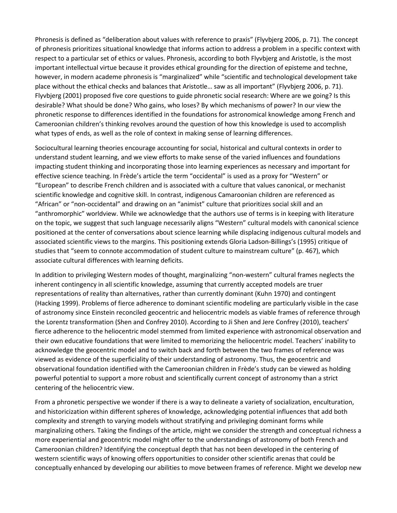Phronesis is defined as "deliberation about values with reference to praxis" (Flyvbjerg 2006, p. 71). The concept of phronesis prioritizes situational knowledge that informs action to address a problem in a specific context with respect to a particular set of ethics or values. Phronesis, according to both Flyvbjerg and Aristotle, is the most important intellectual virtue because it provides ethical grounding for the direction of episteme and techne, however, in modern academe phronesis is "marginalized" while "scientific and technological development take place without the ethical checks and balances that Aristotle… saw as all important" (Flyvbjerg 2006, p. 71). Flyvbjerg (2001) proposed five core questions to guide phronetic social research: Where are we going? Is this desirable? What should be done? Who gains, who loses? By which mechanisms of power? In our view the phronetic response to differences identified in the foundations for astronomical knowledge among French and Cameroonian children's thinking revolves around the question of how this knowledge is used to accomplish what types of ends, as well as the role of context in making sense of learning differences.

Sociocultural learning theories encourage accounting for social, historical and cultural contexts in order to understand student learning, and we view efforts to make sense of the varied influences and foundations impacting student thinking and incorporating those into learning experiences as necessary and important for effective science teaching. In Frède's article the term "occidental" is used as a proxy for "Western" or "European" to describe French children and is associated with a culture that values canonical, or mechanist scientific knowledge and cognitive skill. In contrast, indigenous Camaroonian children are referenced as "African" or "non-occidental" and drawing on an "animist" culture that prioritizes social skill and an "anthromorphic" worldview. While we acknowledge that the authors use of terms is in keeping with literature on the topic, we suggest that such language necessarily aligns "Western" cultural models with canonical science positioned at the center of conversations about science learning while displacing indigenous cultural models and associated scientific views to the margins. This positioning extends Gloria Ladson-Billings's (1995) critique of studies that "seem to connote accommodation of student culture to mainstream culture" (p. 467), which associate cultural differences with learning deficits.

In addition to privileging Western modes of thought, marginalizing "non-western" cultural frames neglects the inherent contingency in all scientific knowledge, assuming that currently accepted models are truer representations of reality than alternatives, rather than currently dominant (Kuhn 1970) and contingent (Hacking 1999). Problems of fierce adherence to dominant scientific modeling are particularly visible in the case of astronomy since Einstein reconciled geocentric and heliocentric models as viable frames of reference through the Lorentz transformation (Shen and Confrey 2010). According to Ji Shen and Jere Confrey (2010), teachers' fierce adherence to the heliocentric model stemmed from limited experience with astronomical observation and their own educative foundations that were limited to memorizing the heliocentric model. Teachers' inability to acknowledge the geocentric model and to switch back and forth between the two frames of reference was viewed as evidence of the superficiality of their understanding of astronomy. Thus, the geocentric and observational foundation identified with the Cameroonian children in Frède's study can be viewed as holding powerful potential to support a more robust and scientifically current concept of astronomy than a strict centering of the heliocentric view.

From a phronetic perspective we wonder if there is a way to delineate a variety of socialization, enculturation, and historicization within different spheres of knowledge, acknowledging potential influences that add both complexity and strength to varying models without stratifying and privileging dominant forms while marginalizing others. Taking the findings of the article, might we consider the strength and conceptual richness a more experiential and geocentric model might offer to the understandings of astronomy of both French and Cameroonian children? Identifying the conceptual depth that has not been developed in the centering of western scientific ways of knowing offers opportunities to consider other scientific arenas that could be conceptually enhanced by developing our abilities to move between frames of reference. Might we develop new